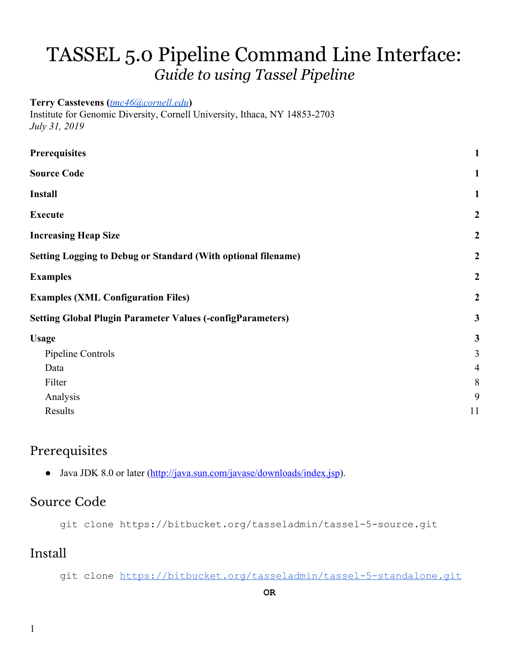# TASSEL 5.0 Pipeline Command Line Interface: *Guide to using Tassel Pipeline*

#### **Terry Casstevens (***[tmc46@cornell.edu](mailto:tmc46@cornell.edu)***)**

Institute for Genomic Diversity, Cornell University, Ithaca, NY 14853-2703 *July 31, 2019*

| <b>Prerequisites</b>                                                 | $\mathbf{1}$     |
|----------------------------------------------------------------------|------------------|
| <b>Source Code</b>                                                   | $\mathbf{1}$     |
| <b>Install</b>                                                       | $\mathbf{1}$     |
| <b>Execute</b>                                                       | $\boldsymbol{2}$ |
| <b>Increasing Heap Size</b>                                          | $\boldsymbol{2}$ |
| <b>Setting Logging to Debug or Standard (With optional filename)</b> | $\boldsymbol{2}$ |
| <b>Examples</b>                                                      | $\boldsymbol{2}$ |
| <b>Examples (XML Configuration Files)</b>                            | $\boldsymbol{2}$ |
| <b>Setting Global Plugin Parameter Values (-configParameters)</b>    |                  |
| <b>Usage</b>                                                         | $\mathbf{3}$     |
| Pipeline Controls                                                    | 3                |
| Data                                                                 | $\overline{4}$   |
| Filter                                                               | $8\,$            |
| Analysis                                                             | 9                |
| Results                                                              | 11               |
|                                                                      |                  |

#### <span id="page-0-0"></span>Prerequisites

• Java JDK 8.0 or later (<http://java.sun.com/javase/downloads/index.jsp>).

#### <span id="page-0-1"></span>Source Code

git clone https://bitbucket.org/tasseladmin/tassel-5-source.git

#### <span id="page-0-2"></span>Install

git clone <https://bitbucket.org/tasseladmin/tassel-5-standalone.git>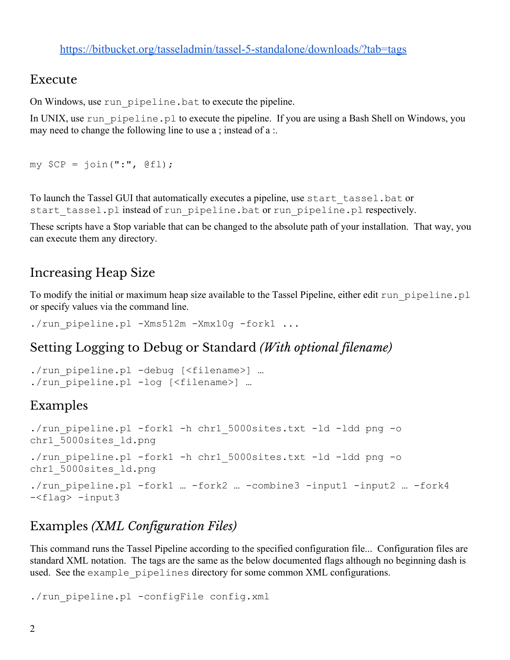#### <https://bitbucket.org/tasseladmin/tassel-5-standalone/downloads/?tab=tags>

#### <span id="page-1-0"></span>Execute

On Windows, use run\_pipeline.bat to execute the pipeline.

In UNIX, use run\_pipeline.pl to execute the pipeline. If you are using a Bash Shell on Windows, you may need to change the following line to use a ; instead of a :.

```
my $CP = join(":", @f1);
```
To launch the Tassel GUI that automatically executes a pipeline, use start\_tassel.bat or start tassel.pl instead of run pipeline.bat or run pipeline.pl respectively.

These scripts have a \$top variable that can be changed to the absolute path of your installation. That way, you can execute them any directory.

### <span id="page-1-1"></span>Increasing Heap Size

To modify the initial or maximum heap size available to the Tassel Pipeline, either edit run\_pipeline.pl or specify values via the command line.

./run pipeline.pl -Xms512m -Xmx10g -fork1 ...

#### <span id="page-1-2"></span>Setting Logging to Debug or Standard *(With optional filename)*

```
./run_pipeline.pl -debug [<filename>] …
./run pipeline.pl -log [<filename>] ...
```
# <span id="page-1-3"></span>Examples

```
./run pipeline.pl -fork1 -h chr1 5000sites.txt -ld -ldd png -o
chr1 5000sites ld.png
./run pipeline.pl -fork1 -h chr1 5000sites.txt -ld -ldd png -o
chr1_5000sites_ld.png
./run pipeline.pl -fork1 … -fork2 … -combine3 -input1 -input2 … -fork4
-<flag> -input3
```
# <span id="page-1-4"></span>Examples *(XML Configuration Files)*

This command runs the Tassel Pipeline according to the specified configuration file... Configuration files are standard XML notation. The tags are the same as the below documented flags although no beginning dash is used. See the example pipelines directory for some common XML configurations.

```
./run pipeline.pl -configFile config.xml
```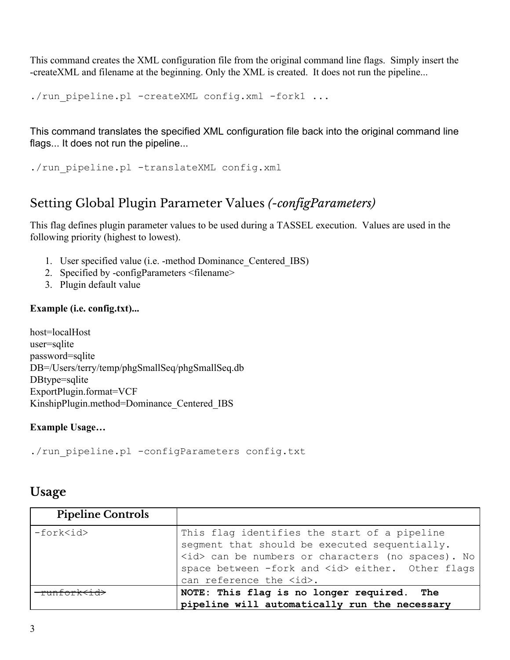This command creates the XML configuration file from the original command line flags. Simply insert the -createXML and filename at the beginning. Only the XML is created. It does not run the pipeline...

```
./run pipeline.pl -createXML config.xml -fork1 ...
```
This command translates the specified XML configuration file back into the original command line flags... It does not run the pipeline...

```
./run pipeline.pl -translateXML config.xml
```
# <span id="page-2-0"></span>Setting Global Plugin Parameter Values *(-configParameters)*

This flag defines plugin parameter values to be used during a TASSEL execution. Values are used in the following priority (highest to lowest).

- 1. User specified value (i.e. -method Dominance\_Centered\_IBS)
- 2. Specified by -configParameters <filename>
- 3. Plugin default value

#### **Example (i.e. config.txt)...**

host=localHost user=sqlite password=sqlite DB=/Users/terry/temp/phgSmallSeq/phgSmallSeq.db DBtype=sqlite ExportPlugin.format=VCF KinshipPlugin.method=Dominance\_Centered\_IBS

#### **Example Usage…**

./run pipeline.pl -configParameters config.txt

#### <span id="page-2-1"></span>**Usage**

<span id="page-2-2"></span>

| <b>Pipeline Controls</b> |                                                                                                                                                                                                                                                    |
|--------------------------|----------------------------------------------------------------------------------------------------------------------------------------------------------------------------------------------------------------------------------------------------|
| -fork <id></id>          | This flag identifies the start of a pipeline<br>segment that should be executed sequentially.<br><id> can be numbers or characters (no spaces). No<br/>space between -fork and <id> either. Other flags<br/>can reference the <id>.</id></id></id> |
|                          | NOTE: This flag is no longer required. The<br>pipeline will automatically run the necessary                                                                                                                                                        |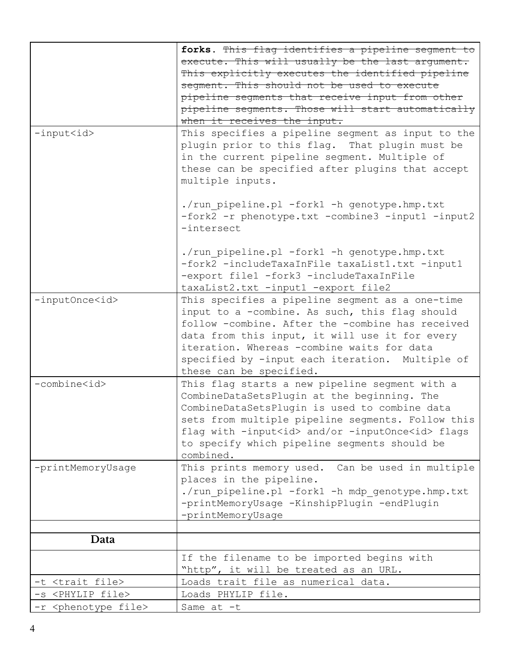<span id="page-3-0"></span>

|                                    | forks. This flag identifies a pipeline segment to           |
|------------------------------------|-------------------------------------------------------------|
|                                    | execute. This will usually be the last argument.            |
|                                    | This explicitly executes the identified pipeline            |
|                                    | segment. This should not be used to execute                 |
|                                    | pipeline seqments that receive input from other             |
|                                    | pipeline segments. Those will start automatically           |
|                                    | when it receives the input.                                 |
| $-$ input $\langle id \rangle$     | This specifies a pipeline segment as input to the           |
|                                    | plugin prior to this flag. That plugin must be              |
|                                    | in the current pipeline segment. Multiple of                |
|                                    | these can be specified after plugins that accept            |
|                                    | multiple inputs.                                            |
|                                    |                                                             |
|                                    | ./run pipeline.pl -fork1 -h genotype.hmp.txt                |
|                                    | -fork2 -r phenotype.txt -combine3 -input1 -input2           |
|                                    | -intersect                                                  |
|                                    |                                                             |
|                                    | ./run pipeline.pl -fork1 -h genotype.hmp.txt                |
|                                    | -fork2 -includeTaxaInFile taxaList1.txt -input1             |
|                                    | -export file1 -fork3 -includeTaxaInFile                     |
|                                    | taxaList2.txt -input1 -export file2                         |
| -inputOnce <id></id>               | This specifies a pipeline segment as a one-time             |
|                                    | input to a -combine. As such, this flag should              |
|                                    | follow -combine. After the -combine has received            |
|                                    |                                                             |
|                                    | data from this input, it will use it for every              |
|                                    | iteration. Whereas -combine waits for data                  |
|                                    | specified by -input each iteration. Multiple of             |
|                                    | these can be specified.                                     |
| -combine <id></id>                 | This flag starts a new pipeline segment with a              |
|                                    | CombineDataSetsPlugin at the beginning. The                 |
|                                    | CombineDataSetsPlugin is used to combine data               |
|                                    | sets from multiple pipeline segments. Follow this           |
|                                    | flag with -input <id> and/or -inputOnce<id> flags</id></id> |
|                                    | to specify which pipeline segments should be                |
|                                    | combined.                                                   |
| -printMemoryUsage                  | This prints memory used. Can be used in multiple            |
|                                    | places in the pipeline.                                     |
|                                    | ./run pipeline.pl -fork1 -h mdp genotype.hmp.txt            |
|                                    | -printMemoryUsage -KinshipPlugin -endPlugin                 |
|                                    | -printMemoryUsage                                           |
|                                    |                                                             |
| Data                               |                                                             |
|                                    | If the filename to be imported begins with                  |
|                                    | "http", it will be treated as an URL.                       |
| -t <trait file=""></trait>         | Loads trait file as numerical data.                         |
| -s <phylip file=""></phylip>       | Loads PHYLIP file.                                          |
| -r <phenotype file=""></phenotype> | Same at -t                                                  |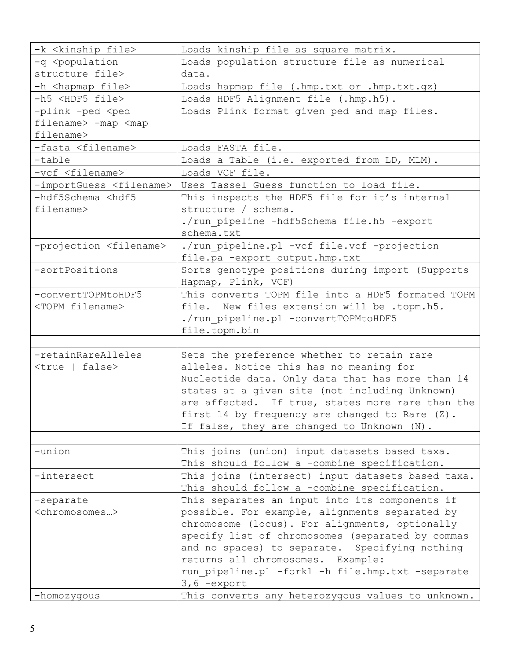| -k <kinship file=""></kinship>                                                            | Loads kinship file as square matrix.                                |
|-------------------------------------------------------------------------------------------|---------------------------------------------------------------------|
| -q <population< td=""><td>Loads population structure file as numerical</td></population<> | Loads population structure file as numerical                        |
| structure file>                                                                           | data.                                                               |
| -h <hapmap file=""></hapmap>                                                              | Loads hapmap file (.hmp.txt or .hmp.txt.gz)                         |
| -h5 <hdf5 file=""></hdf5>                                                                 | Loads HDF5 Alignment file (.hmp.h5).                                |
| -plink -ped <ped< td=""><td>Loads Plink format given ped and map files.</td></ped<>       | Loads Plink format given ped and map files.                         |
| filename> -map <map< td=""><td></td></map<>                                               |                                                                     |
| filename>                                                                                 |                                                                     |
| -fasta <filename></filename>                                                              | Loads FASTA file.                                                   |
| -table                                                                                    | Loads a Table (i.e. exported from LD, MLM).                         |
| -vcf <filename></filename>                                                                | Loads VCF file.                                                     |
| -importGuess <filename></filename>                                                        | Uses Tassel Guess function to load file.                            |
| -hdf5Schema <hdf5< td=""><td>This inspects the HDF5 file for it's internal</td></hdf5<>   | This inspects the HDF5 file for it's internal                       |
| filename>                                                                                 | structure / schema.                                                 |
|                                                                                           | ./run pipeline -hdf5Schema file.h5 -export                          |
|                                                                                           | schema.txt                                                          |
| -projection <filename></filename>                                                         | ./run pipeline.pl -vcf file.vcf -projection                         |
|                                                                                           | file.pa -export output.hmp.txt                                      |
| -sortPositions                                                                            | Sorts genotype positions during import (Supports                    |
|                                                                                           | Hapmap, Plink, VCF)                                                 |
| -convertTOPMtoHDF5                                                                        | This converts TOPM file into a HDF5 formated TOPM                   |
| <topm filename=""></topm>                                                                 | file. New files extension will be .topm.h5.                         |
|                                                                                           | ./run pipeline.pl -convertTOPMtoHDF5                                |
|                                                                                           | file.topm.bin                                                       |
|                                                                                           |                                                                     |
| -retainRareAlleles                                                                        | Sets the preference whether to retain rare                          |
| <true false=""  =""></true>                                                               | alleles. Notice this has no meaning for                             |
|                                                                                           | Nucleotide data. Only data that has more than 14                    |
|                                                                                           | states at a given site (not including Unknown)                      |
|                                                                                           | are affected. If true, states more rare than the                    |
|                                                                                           | first 14 by frequency are changed to Rare (Z).                      |
|                                                                                           | If false, they are changed to Unknown (N).                          |
|                                                                                           |                                                                     |
| -union                                                                                    | This joins (union) input datasets based taxa.                       |
|                                                                                           | This should follow a -combine specification.                        |
| -intersect                                                                                | This joins (intersect) input datasets based taxa.                   |
|                                                                                           | This should follow a -combine specification.                        |
| -separate                                                                                 | This separates an input into its components if                      |
| <chromosomes></chromosomes>                                                               | possible. For example, alignments separated by                      |
|                                                                                           | chromosome (locus). For alignments, optionally                      |
|                                                                                           | specify list of chromosomes (separated by commas                    |
|                                                                                           | and no spaces) to separate. Specifying nothing                      |
|                                                                                           | returns all chromosomes. Example:                                   |
|                                                                                           | run pipeline.pl -fork1 -h file.hmp.txt -separate                    |
|                                                                                           |                                                                     |
|                                                                                           |                                                                     |
| -homozygous                                                                               | $3, 6$ -export<br>This converts any heterozygous values to unknown. |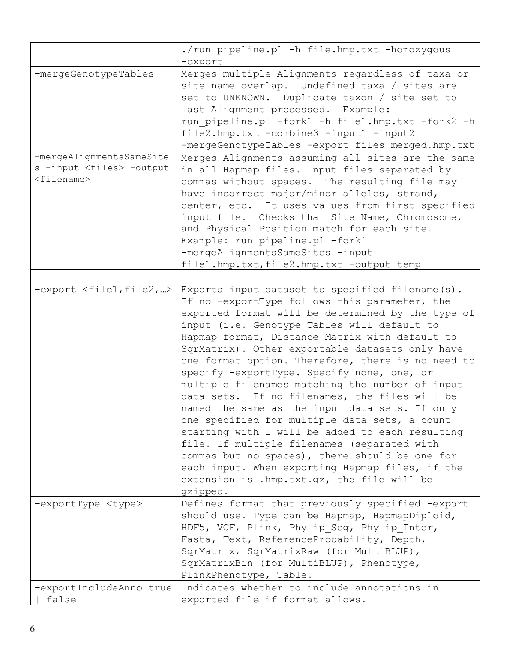|                                                                                                             | ./run pipeline.pl -h file.hmp.txt -homozygous<br>-export                                                                                                                                                                                                                                                                                                                                                                                                                                                                                                                                                                                                                                                                                                                                                                                                                             |
|-------------------------------------------------------------------------------------------------------------|--------------------------------------------------------------------------------------------------------------------------------------------------------------------------------------------------------------------------------------------------------------------------------------------------------------------------------------------------------------------------------------------------------------------------------------------------------------------------------------------------------------------------------------------------------------------------------------------------------------------------------------------------------------------------------------------------------------------------------------------------------------------------------------------------------------------------------------------------------------------------------------|
| -mergeGenotypeTables                                                                                        | Merges multiple Alignments regardless of taxa or<br>site name overlap. Undefined taxa / sites are<br>set to UNKNOWN. Duplicate taxon / site set to<br>last Alignment processed. Example:<br>run pipeline.pl -fork1 -h file1.hmp.txt -fork2 -h<br>file2.hmp.txt -combine3 -input1 -input2<br>-mergeGenotypeTables -export files merged.hmp.txt                                                                                                                                                                                                                                                                                                                                                                                                                                                                                                                                        |
| -mergeAlignmentsSameSite<br>s -input <files> -output<br/><math>&lt;</math>filename<math>&gt;</math></files> | Merges Alignments assuming all sites are the same<br>in all Hapmap files. Input files separated by<br>commas without spaces. The resulting file may<br>have incorrect major/minor alleles, strand,<br>center, etc. It uses values from first specified<br>input file. Checks that Site Name, Chromosome,<br>and Physical Position match for each site.<br>Example: run pipeline.pl -fork1<br>-mergeAlignmentsSameSites -input<br>file1.hmp.txt, file2.hmp.txt -output temp                                                                                                                                                                                                                                                                                                                                                                                                           |
| -export <file1, file2,=""></file1,>                                                                         | Exports input dataset to specified filename(s).<br>If no -exportType follows this parameter, the<br>exported format will be determined by the type of<br>input (i.e. Genotype Tables will default to<br>Hapmap format, Distance Matrix with default to<br>SqrMatrix). Other exportable datasets only have<br>one format option. Therefore, there is no need to<br>specify -exportType. Specify none, one, or<br>multiple filenames matching the number of input<br>data sets. If no filenames, the files will be<br>named the same as the input data sets. If only<br>one specified for multiple data sets, a count<br>starting with 1 will be added to each resulting<br>file. If multiple filenames (separated with<br>commas but no spaces), there should be one for<br>each input. When exporting Hapmap files, if the<br>extension is .hmp.txt.gz, the file will be<br>gzipped. |
| -exportType <type></type>                                                                                   | Defines format that previously specified -export<br>should use. Type can be Hapmap, HapmapDiploid,<br>HDF5, VCF, Plink, Phylip Seq, Phylip Inter,<br>Fasta, Text, ReferenceProbability, Depth,<br>SqrMatrix, SqrMatrixRaw (for MultiBLUP),<br>SqrMatrixBin (for MultiBLUP), Phenotype,<br>PlinkPhenotype, Table.                                                                                                                                                                                                                                                                                                                                                                                                                                                                                                                                                                     |
| -exportIncludeAnno true<br>false                                                                            | Indicates whether to include annotations in<br>exported file if format allows.                                                                                                                                                                                                                                                                                                                                                                                                                                                                                                                                                                                                                                                                                                                                                                                                       |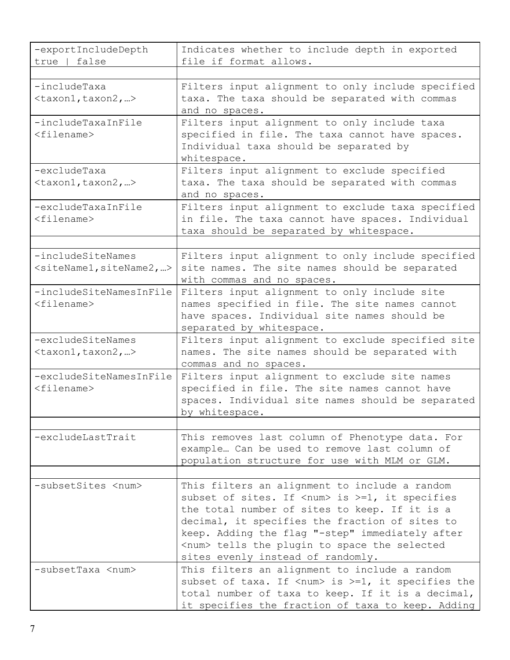| -exportIncludeDepth<br>true   false                 | Indicates whether to include depth in exported<br>file if format allows.                                                                                                                                                                                                                                                                                       |
|-----------------------------------------------------|----------------------------------------------------------------------------------------------------------------------------------------------------------------------------------------------------------------------------------------------------------------------------------------------------------------------------------------------------------------|
|                                                     |                                                                                                                                                                                                                                                                                                                                                                |
| -includeTaxa<br>$\langle$ taxon1, taxon2, >         | Filters input alignment to only include specified<br>taxa. The taxa should be separated with commas<br>and no spaces.                                                                                                                                                                                                                                          |
| -includeTaxaInFile<br>$<$ filename $>$              | Filters input alignment to only include taxa<br>specified in file. The taxa cannot have spaces.<br>Individual taxa should be separated by<br>whitespace.                                                                                                                                                                                                       |
| -excludeTaxa<br>$\langle$ taxon1, taxon2, >         | Filters input alignment to exclude specified<br>taxa. The taxa should be separated with commas<br>and no spaces.                                                                                                                                                                                                                                               |
| -excludeTaxaInFile<br>$<$ filename $>$              | Filters input alignment to exclude taxa specified<br>in file. The taxa cannot have spaces. Individual<br>taxa should be separated by whitespace.                                                                                                                                                                                                               |
| -includeSiteNames<br>$\leq$ siteName1, siteName2, > | Filters input alignment to only include specified<br>site names. The site names should be separated<br>with commas and no spaces.                                                                                                                                                                                                                              |
| -includeSiteNamesInFile<br>$<$ filename $>$         | Filters input alignment to only include site<br>names specified in file. The site names cannot<br>have spaces. Individual site names should be<br>separated by whitespace.                                                                                                                                                                                     |
| -excludeSiteNames<br>$\langle$ taxon1, taxon2, >    | Filters input alignment to exclude specified site<br>names. The site names should be separated with<br>commas and no spaces.                                                                                                                                                                                                                                   |
| -excludeSiteNamesInFile<br>$<$ filename $>$         | Filters input alignment to exclude site names<br>specified in file. The site names cannot have<br>spaces. Individual site names should be separated<br>by whitespace.                                                                                                                                                                                          |
| -excludeLastTrait                                   | This removes last column of Phenotype data. For<br>example Can be used to remove last column of<br>population structure for use with MLM or GLM.                                                                                                                                                                                                               |
| -subsetSites <num></num>                            | This filters an alignment to include a random<br>subset of sites. If <num> is &gt;=1, it specifies<br/>the total number of sites to keep. If it is a<br/>decimal, it specifies the fraction of sites to<br/>keep. Adding the flag "-step" immediately after<br/><num> tells the plugin to space the selected<br/>sites evenly instead of randomly.</num></num> |
| -subsetTaxa <num></num>                             | This filters an alignment to include a random<br>subset of taxa. If $\langle num \rangle$ is $>=1$ , it specifies the<br>total number of taxa to keep. If it is a decimal,<br>it specifies the fraction of taxa to keep. Adding                                                                                                                                |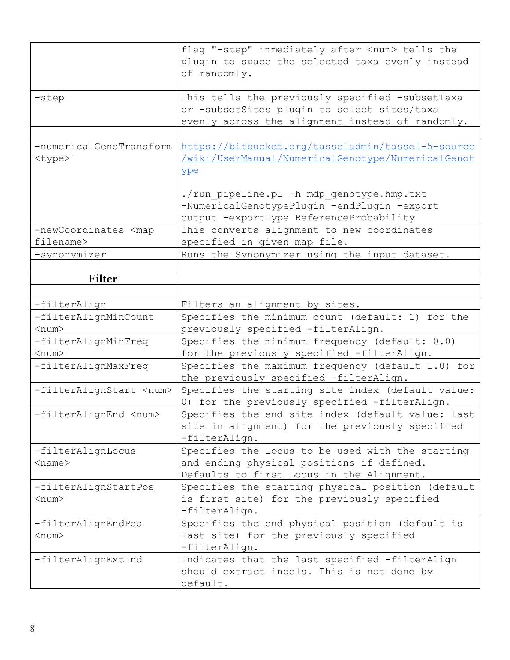<span id="page-7-0"></span>

|                                                                | flag "-step" immediately after <num> tells the<br/>plugin to space the selected taxa evenly instead<br/>of randomly.</num>                         |
|----------------------------------------------------------------|----------------------------------------------------------------------------------------------------------------------------------------------------|
| -step                                                          | This tells the previously specified -subsetTaxa<br>or -subsetSites plugin to select sites/taxa<br>evenly across the alignment instead of randomly. |
| <del>-numericalGenoTransform</del><br><del><type></type></del> | https://bitbucket.org/tasseladmin/tassel-5-source<br>/wiki/UserManual/NumericalGenotype/NumericalGenot<br>ype                                      |
|                                                                | ./run pipeline.pl -h mdp genotype.hmp.txt<br>-NumericalGenotypePlugin -endPlugin -export<br>output -exportType ReferenceProbability                |
| -newCoordinates <map<br>filename&gt;</map<br>                  | This converts alignment to new coordinates<br>specified in given map file.                                                                         |
| -synonymizer                                                   | Runs the Synonymizer using the input dataset.                                                                                                      |
| Filter                                                         |                                                                                                                                                    |
|                                                                |                                                                                                                                                    |
| -filterAlign                                                   | Filters an alignment by sites.                                                                                                                     |
| -filterAlignMinCount                                           | Specifies the minimum count (default: 1) for the                                                                                                   |
| $<$ num $>$                                                    | previously specified -filterAlign.                                                                                                                 |
| -filterAlignMinFreq                                            | Specifies the minimum frequency (default: 0.0)                                                                                                     |
| $<$ num $>$                                                    | for the previously specified -filterAlign.                                                                                                         |
| -filterAlignMaxFreq                                            | Specifies the maximum frequency (default 1.0) for<br>the previously specified -filterAlign.                                                        |
| -filterAlignStart <num></num>                                  | Specifies the starting site index (default value:<br>0) for the previously specified -filterAlign.                                                 |
| -filterAlignEnd <num></num>                                    | Specifies the end site index (default value: last<br>site in alignment) for the previously specified<br>-filterAlign.                              |
| -filterAlignLocus<br>$<$ name $>$                              | Specifies the Locus to be used with the starting<br>and ending physical positions if defined.<br>Defaults to first Locus in the Alignment.         |
| -filterAlignStartPos<br>$<$ num $>$                            | Specifies the starting physical position (default<br>is first site) for the previously specified<br>-filterAlign.                                  |
| -filterAlignEndPos<br>$<$ num $>$                              | Specifies the end physical position (default is<br>last site) for the previously specified<br>-filterAlign.                                        |
| -filterAlignExtInd                                             | Indicates that the last specified -filterAlign<br>should extract indels. This is not done by<br>default.                                           |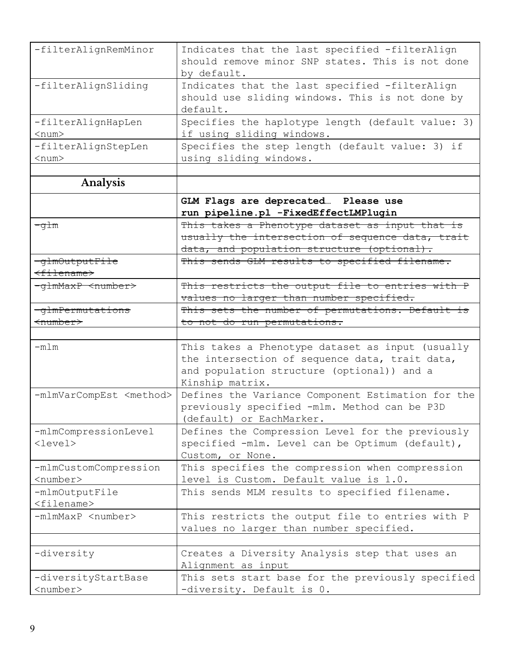<span id="page-8-0"></span>

| -filterAlignRemMinor                       | Indicates that the last specified -filterAlign<br>should remove minor SNP states. This is not done<br>by default.                                                   |
|--------------------------------------------|---------------------------------------------------------------------------------------------------------------------------------------------------------------------|
| -filterAlignSliding                        | Indicates that the last specified -filterAlign<br>should use sliding windows. This is not done by<br>default.                                                       |
| -filterAlignHapLen<br>$<$ num $>$          | Specifies the haplotype length (default value: 3)<br>if using sliding windows.                                                                                      |
| -filterAlignStepLen<br>$<$ num $>$         | Specifies the step length (default value: 3) if<br>using sliding windows.                                                                                           |
|                                            |                                                                                                                                                                     |
| Analysis                                   |                                                                                                                                                                     |
|                                            | GLM Flags are deprecated Please use<br>run pipeline.pl -FixedEffectLMPlugin                                                                                         |
| <del>-glm</del>                            | This takes a Phenotype dataset as input that is<br>usually the intersection of sequence data, trait<br>data, and population structure (optional).                   |
| -glmOutputFile                             | This sends GLM results to specified filename.                                                                                                                       |
| <del><filename></filename></del>           |                                                                                                                                                                     |
| -glmMaxP <number></number>                 | This restricts the output file to entries with P<br>values no larger than number specified.                                                                         |
| -glmPermutations                           | This sets the number of permutations. Default is                                                                                                                    |
| <del>≺number&gt;</del>                     | to not do run permutations.                                                                                                                                         |
|                                            |                                                                                                                                                                     |
| $-mlm$                                     | This takes a Phenotype dataset as input (usually<br>the intersection of sequence data, trait data,<br>and population structure (optional)) and a<br>Kinship matrix. |
| -mlmVarCompEst <method></method>           | Defines the Variance Component Estimation for the<br>previously specified -mlm. Method can be P3D<br>(default) or EachMarker.                                       |
| -mlmCompressionLevel<br>$\text{clevel}$    | Defines the Compression Level for the previously<br>specified -mlm. Level can be Optimum (default),<br>Custom, or None.                                             |
| -mlmCustomCompression<br><number></number> | This specifies the compression when compression<br>level is Custom. Default value is 1.0.                                                                           |
| -mlmOutputFile<br>$<$ filename $>$         | This sends MLM results to specified filename.                                                                                                                       |
| -mlmMaxP <number></number>                 | This restricts the output file to entries with P<br>values no larger than number specified.                                                                         |
|                                            |                                                                                                                                                                     |
| -diversity                                 | Creates a Diversity Analysis step that uses an<br>Alignment as input                                                                                                |
| -diversityStartBase                        | This sets start base for the previously specified                                                                                                                   |
| <number></number>                          | -diversity. Default is 0.                                                                                                                                           |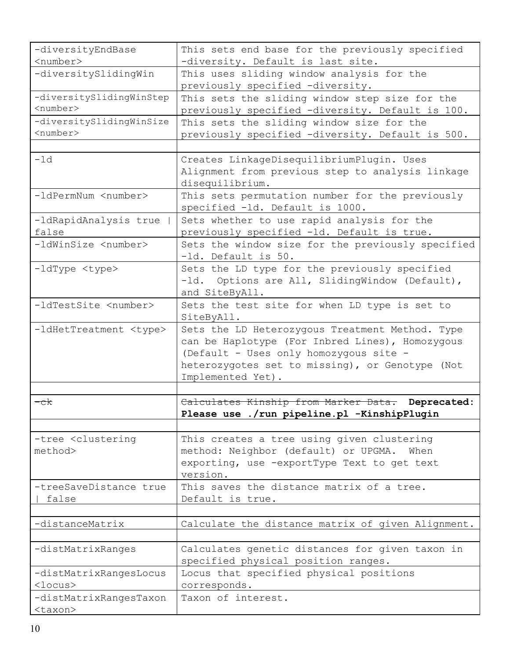| -diversityEndBase<br><number></number>                                             | This sets end base for the previously specified<br>-diversity. Default is last site.                                                                                                                                 |
|------------------------------------------------------------------------------------|----------------------------------------------------------------------------------------------------------------------------------------------------------------------------------------------------------------------|
| -diversitySlidingWin                                                               | This uses sliding window analysis for the<br>previously specified -diversity.                                                                                                                                        |
| -diversitySlidingWinStep<br>$<$ number><br>-diversitySlidingWinSize<br>$<$ number> | This sets the sliding window step size for the<br>previously specified -diversity. Default is 100.<br>This sets the sliding window size for the<br>previously specified -diversity. Default is 500.                  |
| $-ld$                                                                              | Creates LinkageDisequilibriumPlugin. Uses<br>Alignment from previous step to analysis linkage<br>disequilibrium.                                                                                                     |
| -ldPermNum <number></number>                                                       | This sets permutation number for the previously<br>specified -1d. Default is 1000.                                                                                                                                   |
| -ldRapidAnalysis true<br>false                                                     | Sets whether to use rapid analysis for the<br>previously specified -ld. Default is true.                                                                                                                             |
| -ldWinSize <number></number>                                                       | Sets the window size for the previously specified<br>-1d. Default is 50.                                                                                                                                             |
| -ldType <type></type>                                                              | Sets the LD type for the previously specified<br>-1d. Options are All, SlidingWindow (Default),<br>and SiteByAll.                                                                                                    |
| -ldTestSite <number></number>                                                      | Sets the test site for when LD type is set to<br>SiteByAll.                                                                                                                                                          |
| -ldHetTreatment <type></type>                                                      | Sets the LD Heterozygous Treatment Method. Type<br>can be Haplotype (For Inbred Lines), Homozygous<br>(Default - Uses only homozygous site -<br>heterozygotes set to missing), or Genotype (Not<br>Implemented Yet). |
| <del>-ck</del>                                                                     | Calculates Kinship from Marker Data. Deprecated:<br>Please use ./run pipeline.pl -KinshipPlugin                                                                                                                      |
| -tree <clustering<br>method&gt;</clustering<br>                                    | This creates a tree using given clustering<br>method: Neighbor (default) or UPGMA. When<br>exporting, use -exportType Text to get text<br>version.                                                                   |
| -treeSaveDistance true<br>false                                                    | This saves the distance matrix of a tree.<br>Default is true.                                                                                                                                                        |
| -distanceMatrix                                                                    | Calculate the distance matrix of given Alignment.                                                                                                                                                                    |
| -distMatrixRanges                                                                  | Calculates genetic distances for given taxon in<br>specified physical position ranges.                                                                                                                               |
| -distMatrixRangesLocus<br>$<$ locus $>$                                            | Locus that specified physical positions<br>corresponds.                                                                                                                                                              |
| -distMatrixRangesTaxon<br><taxon></taxon>                                          | Taxon of interest.                                                                                                                                                                                                   |